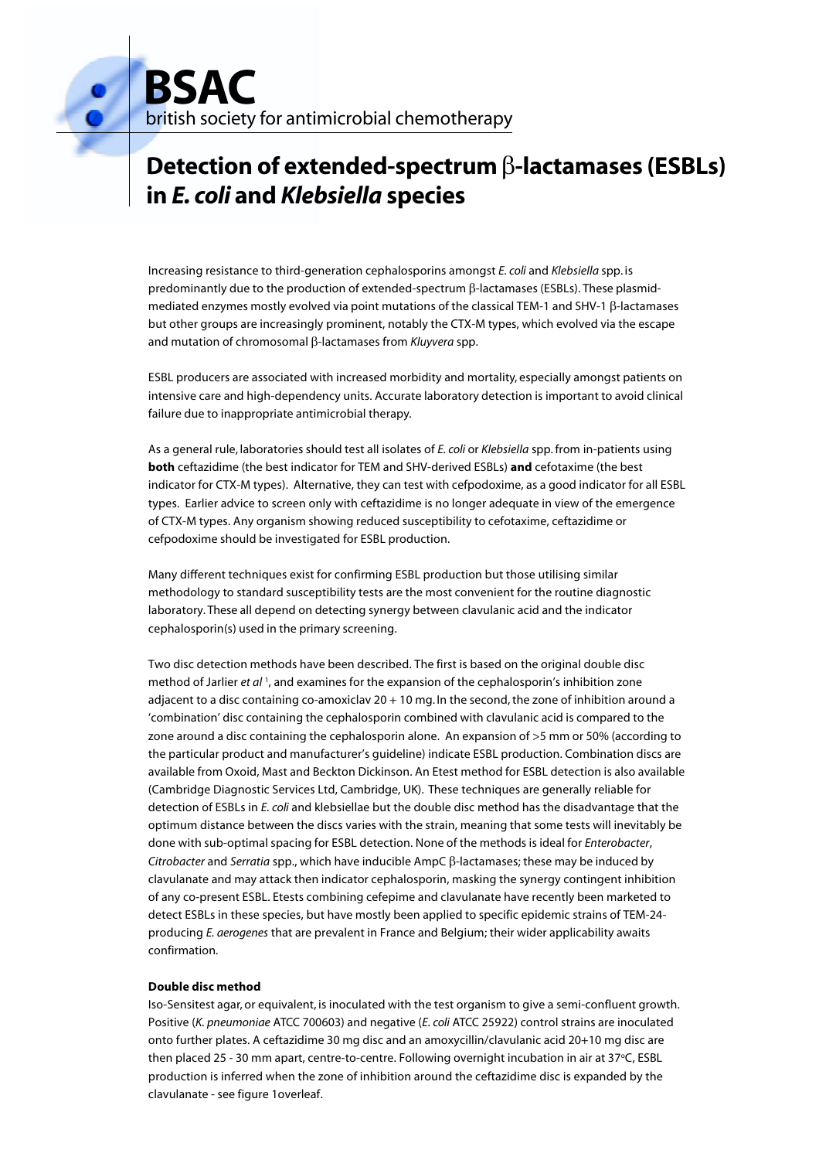**BSAC** british society for antimicrobial chemotherapy

# **Detection of extended-spectrum**  $\beta$ **-lactamases (ESBLs) in** *E. coli* **and** *Klebsiella* **species**

Increasing resistance to third-generation cephalosporins amongst *E. coli* and *Klebsiella* spp. is predominantly due to the production of extended-spectrum  $\beta$ -lactamases (ESBLs). These plasmidmediated enzymes mostly evolved via point mutations of the classical TEM-1 and SHV-1  $\beta$ -lactamases but other groups are increasingly prominent, notably the CTX-M types, which evolved via the escape and mutation of chromosomal β-lactamases from *Kluyvera* spp.

ESBL producers are associated with increased morbidity and mortality, especially amongst patients on intensive care and high-dependency units. Accurate laboratory detection is important to avoid clinical failure due to inappropriate antimicrobial therapy.

As a general rule, laboratories should test all isolates of *E. coli* or *Klebsiella* spp. from in-patients using **both** ceftazidime (the best indicator for TEM and SHV-derived ESBLs) **and** cefotaxime (the best indicator for CTX-M types). Alternative, they can test with cefpodoxime, as a good indicator for all ESBL types. Earlier advice to screen only with ceftazidime is no longer adequate in view of the emergence of CTX-M types. Any organism showing reduced susceptibility to cefotaxime, ceftazidime or cefpodoxime should be investigated for ESBL production.

Many different techniques exist for confirming ESBL production but those utilising similar methodology to standard susceptibility tests are the most convenient for the routine diagnostic laboratory. These all depend on detecting synergy between clavulanic acid and the indicator cephalosporin(s) used in the primary screening.

Two disc detection methods have been described. The first is based on the original double disc method of Jarlier *et al* <sup>1</sup>, and examines for the expansion of the cephalosporin's inhibition zone adjacent to a disc containing co-amoxiclav 20 + 10 mg. In the second, the zone of inhibition around a 'combination' disc containing the cephalosporin combined with clavulanic acid is compared to the zone around a disc containing the cephalosporin alone. An expansion of >5 mm or 50% (according to the particular product and manufacturer's guideline) indicate ESBL production. Combination discs are available from Oxoid, Mast and Beckton Dickinson. An Etest method for ESBL detection is also available (Cambridge Diagnostic Services Ltd, Cambridge, UK). These techniques are generally reliable for detection of ESBLs in *E. coli* and klebsiellae but the double disc method has the disadvantage that the optimum distance between the discs varies with the strain, meaning that some tests will inevitably be done with sub-optimal spacing for ESBL detection. None of the methods is ideal for *Enterobacter*, *Citrobacter* and *Serratia* spp., which have inducible  $AmpC \beta$ -lactamases; these may be induced by clavulanate and may attack then indicator cephalosporin, masking the synergy contingent inhibition of any co-present ESBL. Etests combining cefepime and clavulanate have recently been marketed to detect ESBLs in these species, but have mostly been applied to specific epidemic strains of TEM-24 producing *E. aerogenes* that are prevalent in France and Belgium; their wider applicability awaits confirmation.

## **Double disc method**

Iso-Sensitest agar, or equivalent, is inoculated with the test organism to give a semi-confluent growth. Positive (*K. pneumoniae* ATCC 700603) and negative (*E. coli* ATCC 25922) control strains are inoculated onto further plates. A ceftazidime 30 mg disc and an amoxycillin/clavulanic acid 20+10 mg disc are then placed 25 - 30 mm apart, centre-to-centre. Following overnight incubation in air at 37°C, ESBL production is inferred when the zone of inhibition around the ceftazidime disc is expanded by the clavulanate - see figure 1overleaf.